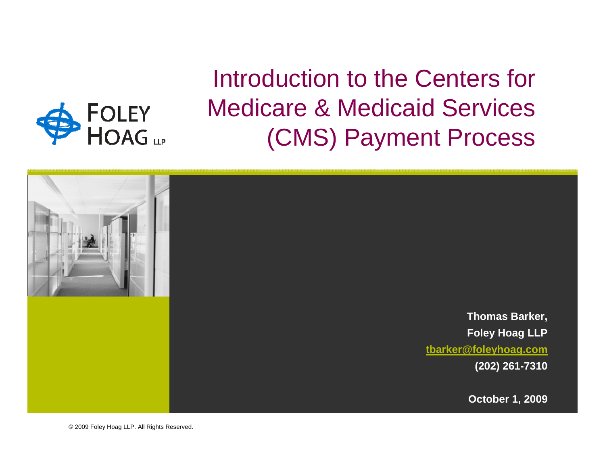

Introduction to the Centers for Medicare & Medicaid Services (CMS) Payment Process



© 2009 Foley Hoag LLP. All Rights Reserved.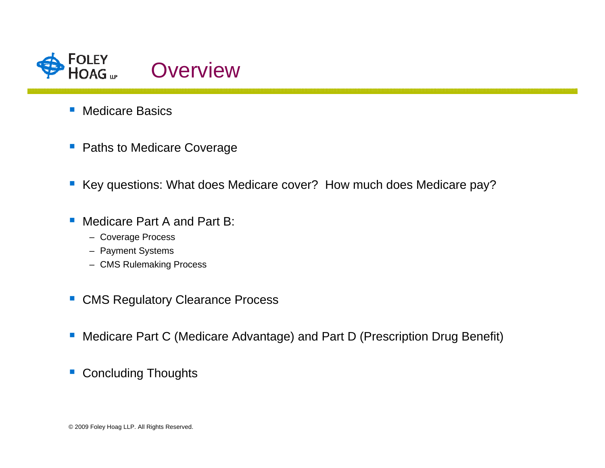

- Medicare Basics
- **Paths to Medicare Coverage**
- Key questions: What does Medicare cover? How much does Medicare pay?
- $\mathcal{C}^{\mathcal{A}}$  Medicare Part A and Part B:
	- Coverage Process
	- Payment Systems
	- CMS Rulemaking Process
- $\overline{\mathbb{R}^n}$ CMS Regulatory Clearance Process
- $\mathcal{L}_{\mathcal{A}}$ Medicare Part C (Medicare Advantage) and Part D (Prescription Drug Benefit)
- $\mathcal{L}_{\mathcal{A}}$ Concluding Thoughts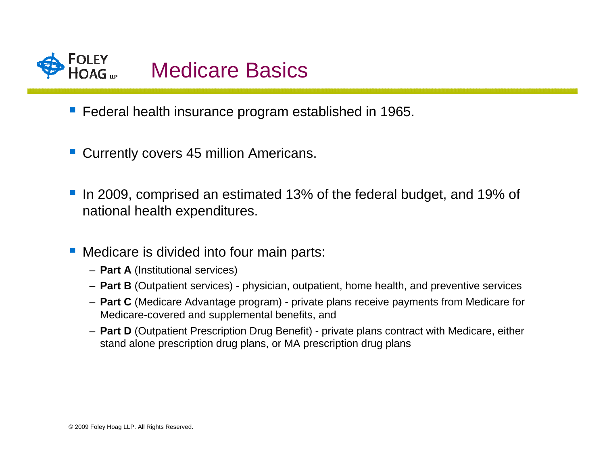

- **Federal health insurance program established in 1965.**
- **Currently covers 45 million Americans.**
- In 2009, comprised an estimated 13% of the federal budget, and 19% of national health expenditures.
- Medicare is divided into four main parts:
	- **Part A** (Institutional services)
	- **Part B** (Outpatient services) physician, outpatient, home health, and preventive services
	- **Part C** (Medicare Advantage program) private plans receive payments from Medicare for Medicare-covered and supplemental benefits, and
	- **Part D** (Outpatient Prescription Drug Benefit) private plans contract with Medicare, either stand alone prescription drug plans, or MA prescription drug plans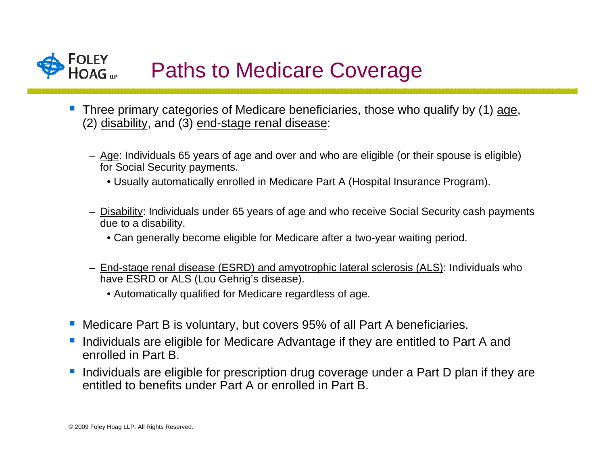

- Three primary categories of Medicare beneficiaries, those who qualify by (1) age, (2) disability, and (3) end-stage renal disease:
	- Age: Individuals 65 years of age and over and who are eligible (or their spouse is eligible) for Social Security payments.
		- Usually automatically enrolled in Medicare Part A (Hospital Insurance Program).
	- <u>Disability</u>: Individuals under 65 years of age and who receive Social Security cash payments due to a disability.
		- Can generally become eligible for Medicare after a two-year waiting period.
	- End-stage renal disease (ESRD) and amyotrophic lateral sclerosis (ALS): Individuals who have ESRD or ALS (Lou Gehrig's disease).
		- Automatically qualified for Medicare regardless of age.
- **Service Service** Medicare Part B is voluntary, but covers 95% of all Part A beneficiaries.
- Individuals are eligible for Medicare Advantage if they are entitled to Part A and enrolled in Part B.
- $\mathbb{R}^3$  Individuals are eligible for prescription drug coverage under a Part D plan if they are entitled to benefits under Part A or enrolled in Part B.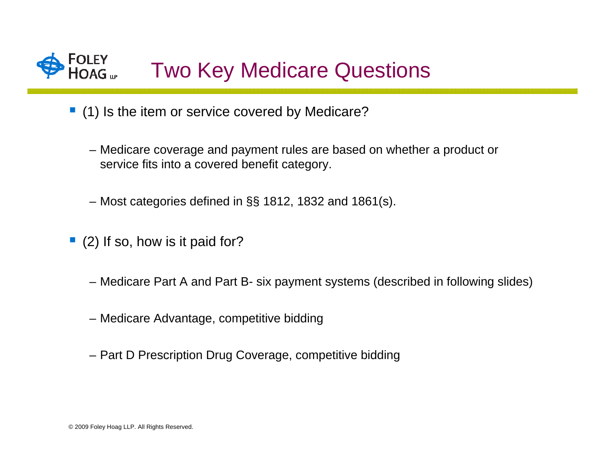

- (1) Is the item or service covered by Medicare?
	- Medicare coverage and payment rules are based on whether a product or service fits into a covered benefit category.
	- Most categories defined in §§ 1812, 1832 and 1861(s).
- (2) If so, how is it paid for?
	- Medicare Part A and Part B- six payment systems (described in following slides)
	- Medicare Advantage, competitive bidding
	- Part D Prescription Drug Coverage, competitive bidding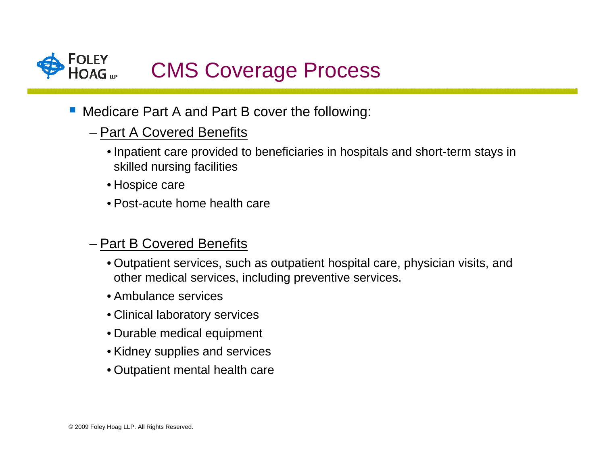

- Medicare Part A and Part B cover the following:
	- Part A Covered Benefits
		- Inpatient care provided to beneficiaries in hospitals and short-term stays in skilled nursing facilities
		- Hospice care
		- Post-acute home health care

### – Part B Covered Benefits

- Outpatient services, such as outpatient hospital care, physician visits, and other medical services, including preventive services.
- Ambulance services
- Clinical laboratory services
- Durable medical equipment
- Kidney supplies and services
- Outpatient mental health care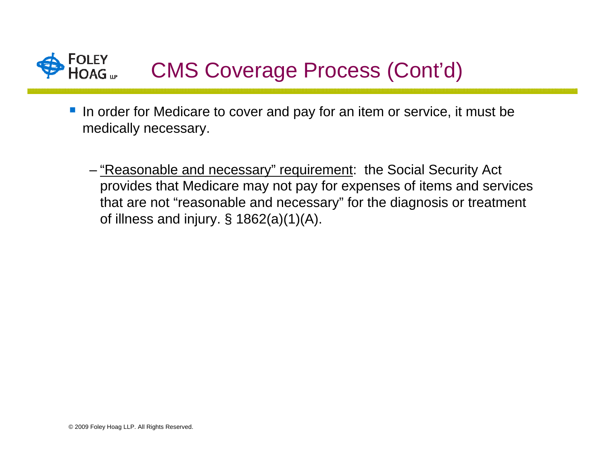

- If are in order for Medicare to cover and pay for an item or service, it must be medically necessary.
	- <u>"Reasonable and necessary" requirement</u>: the Social Security Act provides that Medicare may not pay for expenses of items and services that are not "reasonable and necessary" for the diagnosis or treatment of illness and injury. § 1862(a)(1)(A).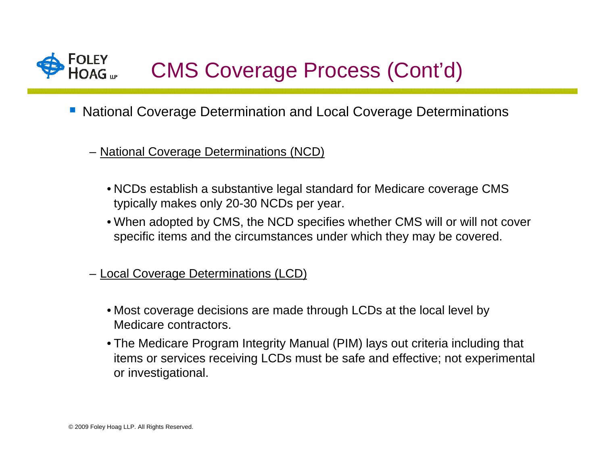

- National Coverage Determination and Local Coverage Determinations
	- National Coverage Determinations (NCD)
		- NCDs establish a substantive legal standard for Medicare coverage CMS typically makes only 20-30 NCDs per year.
		- When adopted by CMS, the NCD specifies whether CMS will or will not cover specific items and the circumstances under which they may be covered.
	- Local Coverage Determinations (LCD)
		- Most coverage decisions are made through LCDs at the local level by Medicare contractors.
		- The Medicare Program Integrity Manual (PIM) lays out criteria including that items or services receiving LCDs must be safe and effective; not experimental or investigational.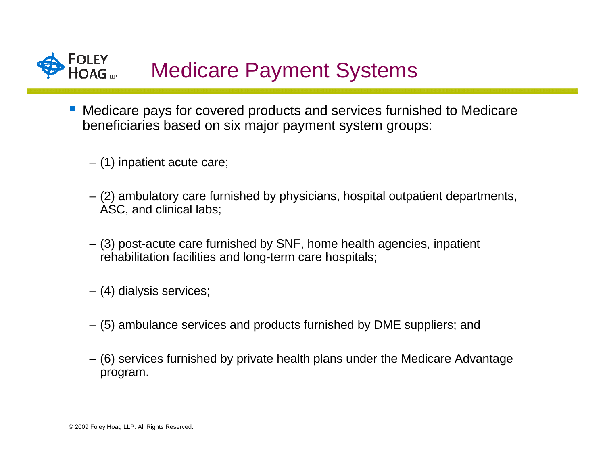

- Medicare pays for covered products and services furnished to Medicare beneficiaries based on six major payment system groups:
	- (1) inpatient acute care;
	- (2) ambulatory care furnished by physicians, hospital outpatient departments, ASC, and clinical labs;
	- (3) post-acute care furnished by SNF, home health agencies, inpatient rehabilitation facilities and long-term care hospitals;
	- (4) dialysis services;
	- (5) ambulance services and products furnished by DME suppliers; and
	- (6) services furnished by private health plans under the Medicare Advantage program.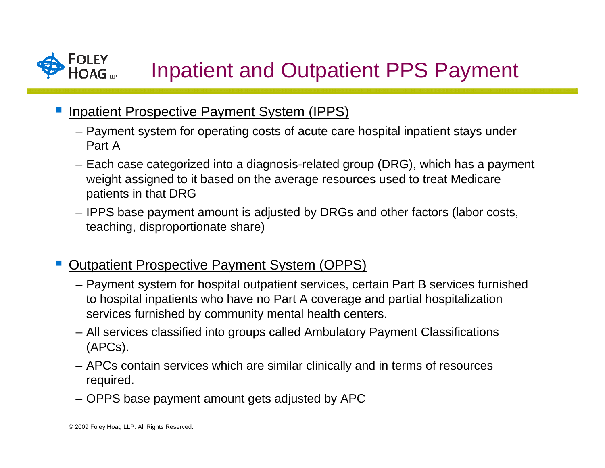

- **Service Service**  Inpatient Prospective Payment System (IPPS)
	- Payment system for operating costs of acute care hospital inpatient stays under Part A
	- Each case categorized into a diagnosis-related group (DRG), which has a payment weight assigned to it based on the average resources used to treat Medicare patients in that DRG
	- IPPS base payment amount is adjusted by DRGs and other factors (labor costs, teaching, disproportionate share)
- Outpatient Prospective Payment System (OPPS)
	- Payment system for hospital outpatient services, certain Part B services furnished to hospital inpatients who have no Part A coverage and partial hospitalization services furnished by community mental health centers.
	- All services classified into groups called Ambulatory Payment Classifications (APCs).
	- APCs contain services which are similar clinically and in terms of resources required.
	- OPPS base payment amount gets adjusted by APC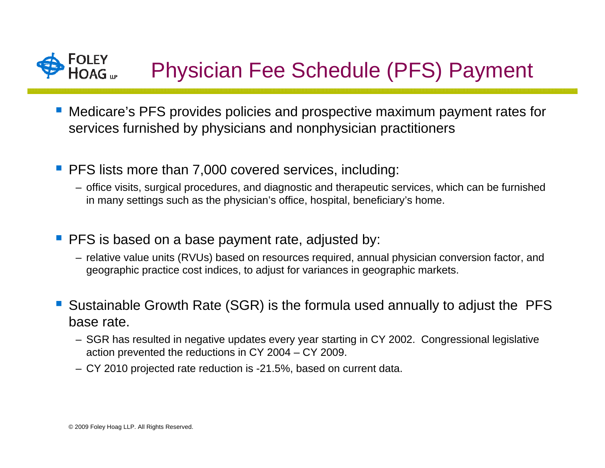

- Medicare's PFS provides policies and prospective maximum payment rates for services furnished by physicians and nonphysician practitioners
- **PFS lists more than 7,000 covered services, including:** 
	- office visits, surgical procedures, and diagnostic and therapeutic services, which can be furnished in many settings such as the physician's office, hospital, beneficiary's home.
- **PFS** is based on a base payment rate, adjusted by:
	- relative value units (RVUs) based on resources required, annual physician conversion factor, and geographic practice cost indices, to adjust for variances in geographic markets.
- Sustainable Growth Rate (SGR) is the formula used annually to adjust the PFS base rate.
	- SGR has resulted in negative updates every year starting in CY 2002. Congressional legislative action prevented the reductions in CY 2004 – CY 2009.
	- CY 2010 projected rate reduction is -21.5%, based on current data.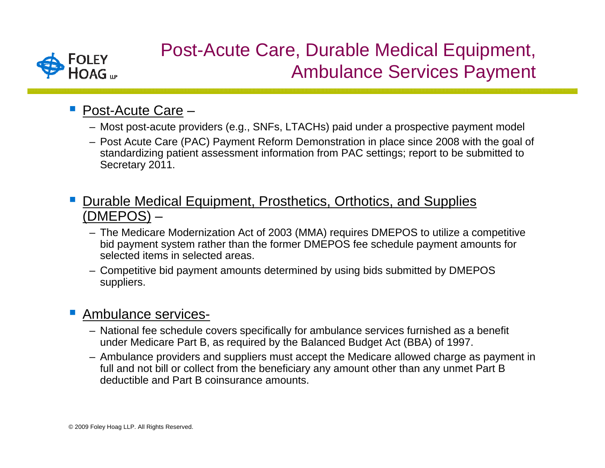

# Post-Acute Care, Durable Medical Equipment, Ambulance Services Payment

## ■ Post-Acute Care –

- Most post-acute providers (e.g., SNFs, LTACHs) paid under a prospective payment model
- Post Acute Care (PAC) Payment Reform Demonstration in place since 2008 with the goal of standardizing patient assessment information from PAC settings; report to be submitted to Secretary 2011.
- **Service Service**  Durable Medical Equipment, Prosthetics, Orthotics, and Supplies (DMEPOS) –
	- The Medicare Modernization Act of 2003 (MMA) requires DMEPOS to utilize a competitive bid payment system rather than the former DMEPOS fee schedule payment amounts for selected items in selected areas.
	- Competitive bid payment amounts determined by using bids submitted by DMEPOS suppliers.

#### Ambulance services-

- National fee schedule covers specifically for ambulance services furnished as a benefit under Medicare Part B, as required by the Balanced Budget Act (BBA) of 1997.
- Ambulance providers and suppliers must accept the Medicare allowed charge as payment in full and not bill or collect from the beneficiary any amount other than any unmet Part B deductible and Part B coinsurance amounts.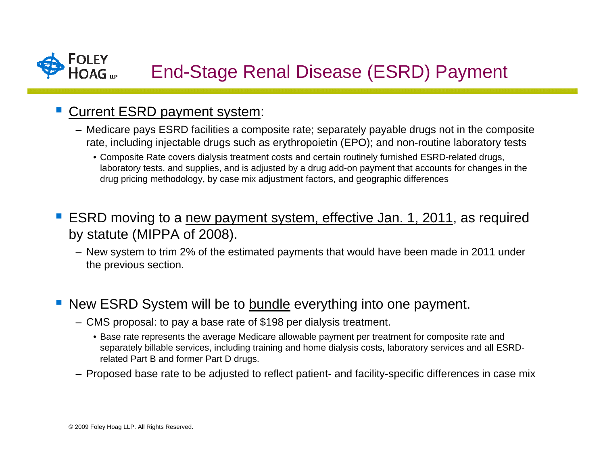

#### **Service Service** Current ESRD payment system:

- Medicare pays ESRD facilities a composite rate; separately payable drugs not in the composite rate, including injectable drugs such as erythropoietin (EPO); and non-routine laboratory tests
	- Composite Rate covers dialysis treatment costs and certain routinely furnished ESRD-related drugs, laboratory tests, and supplies, and is adjusted by a drug add-on payment that accounts for changes in the drug pricing methodology, by case mix adjustment factors, and geographic differences
- ESRD moving to a new payment system, effective Jan. 1, 2011, as required by statute (MIPPA of 2008).
	- New system to trim 2% of the estimated payments that would have been made in 2011 under the previous section.

#### New ESRD System will be to bundle everything into one payment.

- CMS proposal: to pay a base rate of \$198 per dialysis treatment.
	- Base rate represents the average Medicare allowable payment per treatment for composite rate and separately billable services, including training and home dialysis costs, laboratory services and all ESRDrelated Part B and former Part D drugs.
- Proposed base rate to be adjusted to reflect patient- and facility-specific differences in case mix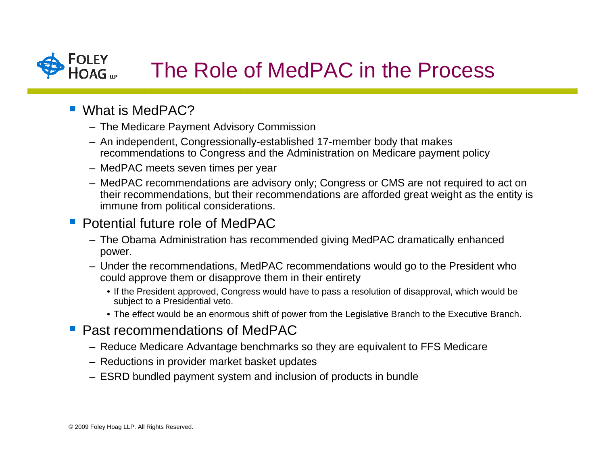### **FOLEY** The Role of MedPAC in the Process

- What is MedPAC?
	- The Medicare Payment Advisory Commission
	- An independent, Congressionally-established 17-member body that makes recommendations to Congress and the Administration on Medicare payment policy
	- MedPAC meets seven times per year
	- MedPAC recommendations are advisory only; Congress or CMS are not required to act on their recommendations, but their recommendations are afforded great weight as the entity is immune from political considerations.

### **Potential future role of MedPAC**

- The Obama Administration has recommended giving MedPAC dramatically enhanced power.
- Under the recommendations, MedPAC recommendations would go to the President who could approve them or disapprove them in their entirety
	- If the President approved, Congress would have to pass a resolution of disapproval, which would be subject to a Presidential veto.
	- The effect would be an enormous shift of power from the Legislative Branch to the Executive Branch.
- **Past recommendations of MedPAC** 
	- Reduce Medicare Advantage benchmarks so they are equivalent to FFS Medicare
	- Reductions in provider market basket updates
	- ESRD bundled payment system and inclusion of products in bundle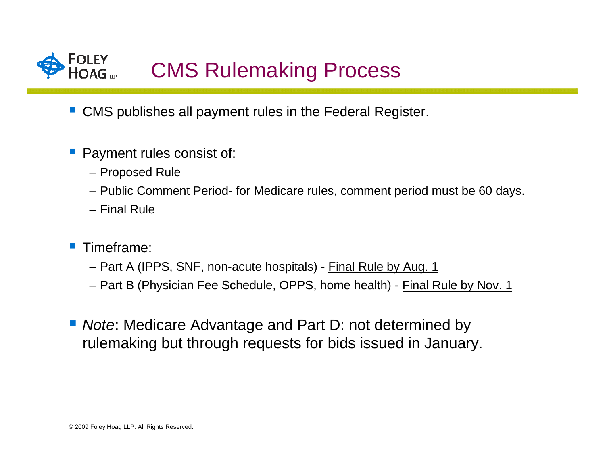

- **CMS** publishes all payment rules in the Federal Register.
- **Service Service**  Payment rules consist of:
	- Proposed Rule
	- Public Comment Period- for Medicare rules, comment period must be 60 days.
	- Final Rule
- **Timeframe:** 
	- Part A (IPPS, SNF, non-acute hospitals) <u>Final Rule by Aug. 1</u>
	- Part B (Physician Fee Schedule, OPPS, home health) <u>Final Rule by Nov. 1</u>
- *Note*: Medicare Advantage and Part D: not determined by rulemaking but through requests for bids issued in January.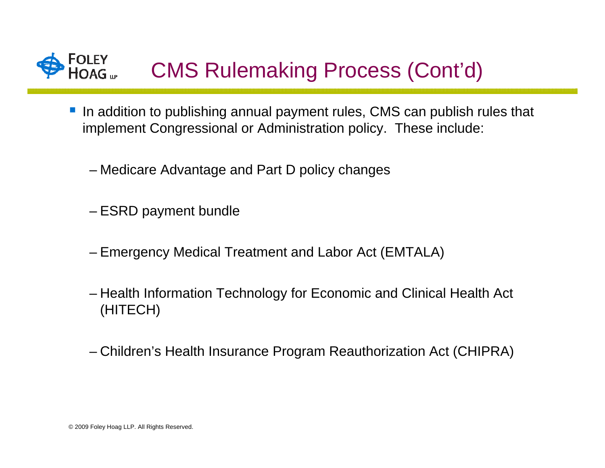# FOLEY<br>HOAG ... CMS Rulemaking Process (Cont'd)

- In addition to publishing annual payment rules, CMS can publish rules that implement Congressional or Administration policy. These include:
	- Medicare Advantage and Part D policy changes
	- ESRD payment bundle
	- Emergency Medical Treatment and Labor Act (EMTALA)
	- Health Information Technology for Economic and Clinical Health Act (HITECH)
	- Children's Health Insurance Program Reauthorization Act (CHIPRA)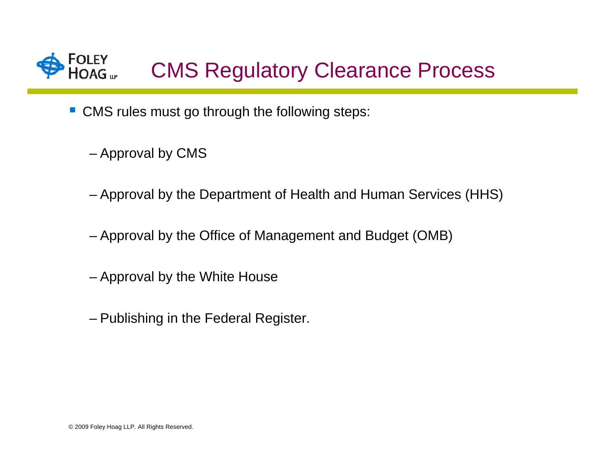

- CMS rules must go through the following steps:
	- Approval by CMS
	- Approval by the Department of Health and Human Services (HHS)
	- Approval by the Office of Management and Budget (OMB)
	- Approval by the White House
	- Publishing in the Federal Register.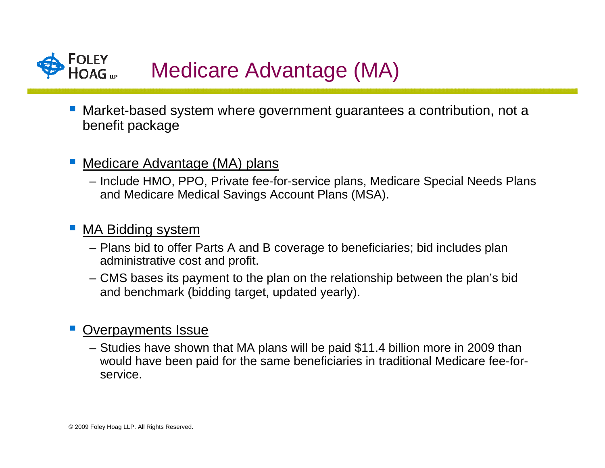

■ Market-based system where government guarantees a contribution, not a benefit package

#### **Service Service** Medicare Advantage (MA) plans

– Include HMO, PPO, Private fee-for-service plans, Medicare Special Needs Plans and Medicare Medical Savings Account Plans (MSA).

#### MA Bidding system

- Plans bid to offer Parts A and B coverage to beneficiaries; bid includes plan administrative cost and profit.
- CMS bases its payment to the plan on the relationship between the plan's bid and benchmark (bidding target, updated yearly).

#### Overpayments Issue

– Studies have shown that MA plans will be paid \$11.4 billion more in 2009 than would have been paid for the same beneficiaries in traditional Medicare fee-forservice.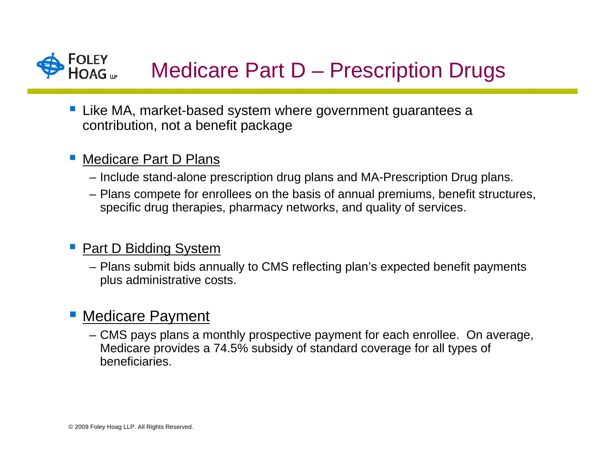

- Like MA, market-based system where government guarantees a contribution, not a benefit package
- Medicare Part D Plans
	- Include stand-alone prescription drug plans and MA-Prescription Drug plans.
	- Plans compete for enrollees on the basis of annual premiums, benefit structures, specific drug therapies, pharmacy networks, and quality of services.
- **Part D Bidding System** 
	- Plans submit bids annually to CMS reflecting plan's expected benefit payments plus administrative costs.

# **• Medicare Payment**

– CMS pays plans a monthly prospective payment for each enrollee. On average, Medicare provides a 74.5% subsidy of standard coverage for all types of beneficiaries.